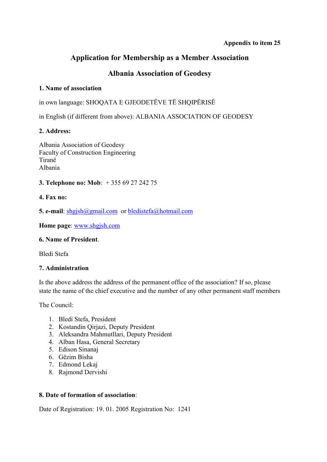## **Appendix to item 25**

# **Application for Membership as a Member Association**

# **Albania Association of Geodesy**

#### **1. Name of association**

in own language: SHOQATA E GJEODETËVE TË SHQIPËRISË

in English (if different from above): ALBANIA ASSOCIATION OF GEODESY

## **2. Address:**

Albania Association of Geodesy Faculty of Construction Engineering Tiranë Albania

## **3. Telephone no: Mob**: + 355 69 27 242 75

#### **4. Fax no:**

**5. e-mail**: shgjsh@gmail.com or bledistefa@hotmail.com

**Home page**: www.shgjsh.com

#### **6. Name of President**.

Bledi Stefa

#### **7. Administration**

Is the above address the address of the permanent office of the association? If so, please state the name of the chief executive and the number of any other permanent staff members

The Council:

- 1. Bledi Stefa, President
- 2. Kostandin Qirjazi, Deputy President
- 3. Aleksandra Mahmutllari, Deputy President
- 4. Alban Hasa, General Secretary
- 5. Edison Sinanaj
- 6. Gëzim Bisha
- 7. Edmond Lekaj
- 8. Rajmond Dervishi

#### **8. Date of formation of association**:

Date of Registration: 19. 01. 2005 Registration No: 1241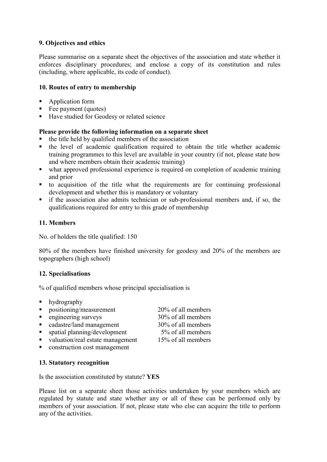### **9. Objectives and ethics**

Please summarise on a separate sheet the objectives of the association and state whether it enforces disciplinary procedures; and enclose a copy of its constitution and rules (including, where applicable, its code of conduct).

#### **10. Routes of entry to membership**

- **Application form**
- $\blacksquare$  Fee payment (quotes)
- Have studied for Geodesy or related science

#### **Please provide the following information on a separate sheet**

- the title held by qualified members of the association
- the level of academic qualification required to obtain the title whether academic training programmes to this level are available in your country (if not, please state how and where members obtain their academic training)
- what approved professional experience is required on completion of academic training and prior
- to acquisition of the title what the requirements are for continuing professional development and whether this is mandatory or voluntary
- $\blacksquare$  if the association also admits technician or sub-professional members and, if so, the qualifications required for entry to this grade of membership

#### **11. Members**

No. of holders the title qualified: 150

80% of the members have finished university for geodesy and 20% of the members are topographers (high school)

#### **12. Specialisations**

% of qualified members whose principal specialisation is

- **hydrography** positioning/measurement 20% of all members
- engineering surveys 30% of all members
- cadastre/land management 30% of all members
- $\blacksquare$  spatial planning/development  $5\%$  of all members
- valuation/real estate management  $15\%$  of all members
- **•** construction cost management

#### **13. Statutory recognition**

Is the association constituted by statute? **YES** 

Please list on a separate sheet those activities undertaken by your members which are regulated by statute and state whether any or all of these can be performed only by members of your association. If not, please state who else can acquire the title to perform any of the activities.